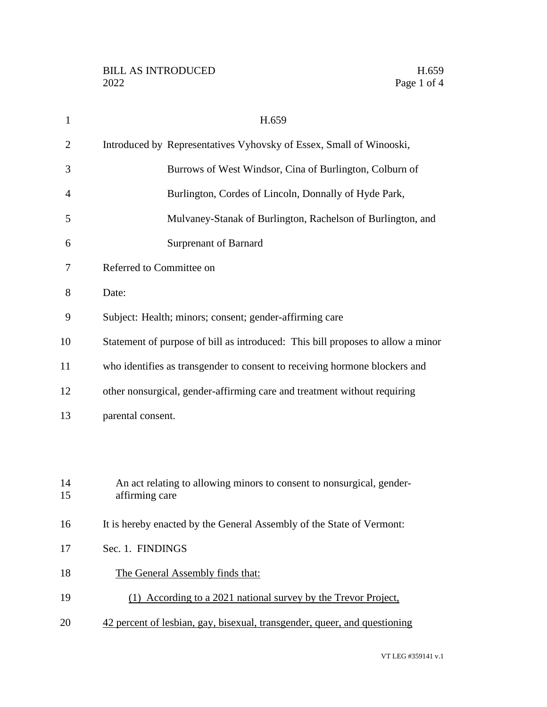| $\mathbf{1}$   | H.659                                                                                   |
|----------------|-----------------------------------------------------------------------------------------|
| $\overline{2}$ | Introduced by Representatives Vyhovsky of Essex, Small of Winooski,                     |
| 3              | Burrows of West Windsor, Cina of Burlington, Colburn of                                 |
| 4              | Burlington, Cordes of Lincoln, Donnally of Hyde Park,                                   |
| 5              | Mulvaney-Stanak of Burlington, Rachelson of Burlington, and                             |
| 6              | <b>Surprenant of Barnard</b>                                                            |
| 7              | Referred to Committee on                                                                |
| 8              | Date:                                                                                   |
| 9              | Subject: Health; minors; consent; gender-affirming care                                 |
| 10             | Statement of purpose of bill as introduced: This bill proposes to allow a minor         |
| 11             | who identifies as transgender to consent to receiving hormone blockers and              |
| 12             | other nonsurgical, gender-affirming care and treatment without requiring                |
| 13             | parental consent.                                                                       |
|                |                                                                                         |
|                |                                                                                         |
| 14<br>15       | An act relating to allowing minors to consent to nonsurgical, gender-<br>affirming care |
| 16             | It is hereby enacted by the General Assembly of the State of Vermont:                   |
| 17             | Sec. 1. FINDINGS                                                                        |
| 18             | The General Assembly finds that:                                                        |
| 19             | (1) According to a 2021 national survey by the Trevor Project,                          |
|                |                                                                                         |
| 20             | 42 percent of lesbian, gay, bisexual, transgender, queer, and questioning               |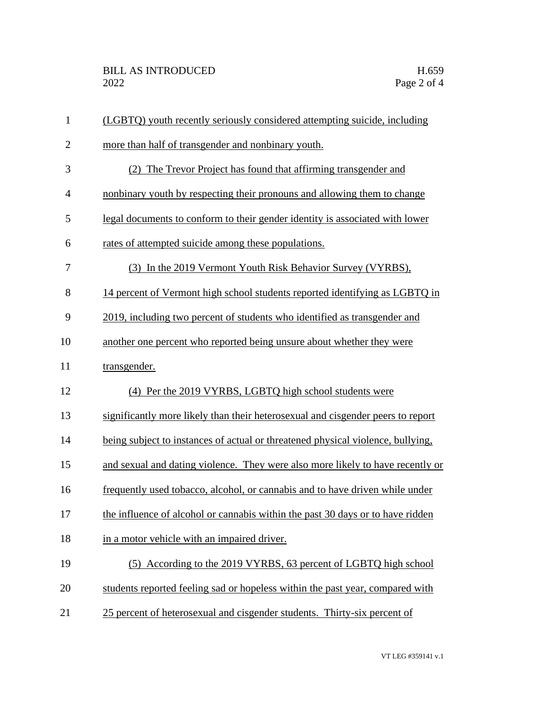| $\mathbf{1}$   | (LGBTQ) youth recently seriously considered attempting suicide, including       |
|----------------|---------------------------------------------------------------------------------|
| $\overline{2}$ | more than half of transgender and nonbinary youth.                              |
| 3              | (2) The Trevor Project has found that affirming transgender and                 |
| $\overline{4}$ | nonbinary youth by respecting their pronouns and allowing them to change        |
| 5              | legal documents to conform to their gender identity is associated with lower    |
| 6              | rates of attempted suicide among these populations.                             |
| $\tau$         | (3) In the 2019 Vermont Youth Risk Behavior Survey (VYRBS),                     |
| 8              | 14 percent of Vermont high school students reported identifying as LGBTQ in     |
| 9              | 2019, including two percent of students who identified as transgender and       |
| 10             | another one percent who reported being unsure about whether they were           |
| 11             | transgender.                                                                    |
| 12             | (4) Per the 2019 VYRBS, LGBTQ high school students were                         |
| 13             | significantly more likely than their heterosexual and cisgender peers to report |
| 14             | being subject to instances of actual or threatened physical violence, bullying, |
| 15             | and sexual and dating violence. They were also more likely to have recently or  |
| 16             | frequently used tobacco, alcohol, or cannabis and to have driven while under    |
| 17             | the influence of alcohol or cannabis within the past 30 days or to have ridden  |
| 18             | in a motor vehicle with an impaired driver.                                     |
| 19             | (5) According to the 2019 VYRBS, 63 percent of LGBTQ high school                |
| 20             | students reported feeling sad or hopeless within the past year, compared with   |
| 21             | 25 percent of heterosexual and cisgender students. Thirty-six percent of        |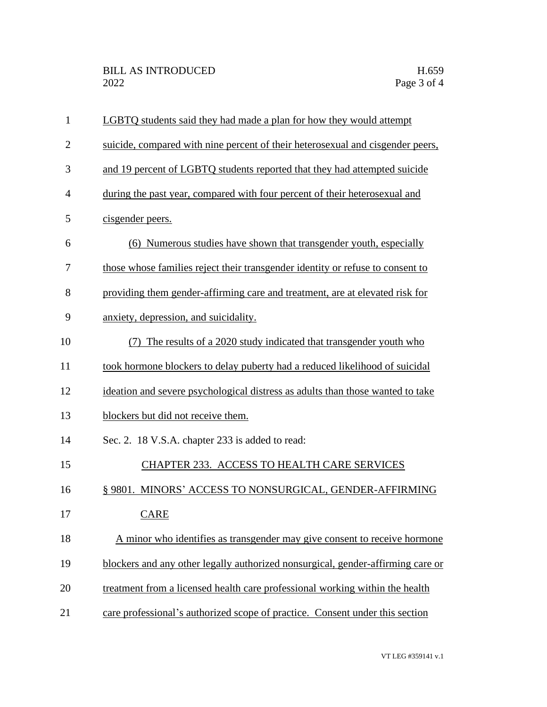| $\mathbf{1}$   | LGBTQ students said they had made a plan for how they would attempt             |
|----------------|---------------------------------------------------------------------------------|
| $\overline{2}$ | suicide, compared with nine percent of their heterosexual and cisgender peers,  |
| 3              | and 19 percent of LGBTQ students reported that they had attempted suicide       |
| $\overline{4}$ | during the past year, compared with four percent of their heterosexual and      |
| 5              | cisgender peers.                                                                |
| 6              | (6) Numerous studies have shown that transgender youth, especially              |
| 7              | those whose families reject their transgender identity or refuse to consent to  |
| 8              | providing them gender-affirming care and treatment, are at elevated risk for    |
| 9              | anxiety, depression, and suicidality.                                           |
| 10             | The results of a 2020 study indicated that transgender youth who                |
| 11             | took hormone blockers to delay puberty had a reduced likelihood of suicidal     |
| 12             | ideation and severe psychological distress as adults than those wanted to take  |
| 13             | blockers but did not receive them.                                              |
| 14             | Sec. 2. 18 V.S.A. chapter 233 is added to read:                                 |
| 15             | CHAPTER 233. ACCESS TO HEALTH CARE SERVICES                                     |
| 16             | § 9801. MINORS' ACCESS TO NONSURGICAL, GENDER-AFFIRMING                         |
| 17             | <b>CARE</b>                                                                     |
| 18             | A minor who identifies as transgender may give consent to receive hormone       |
| 19             | blockers and any other legally authorized nonsurgical, gender-affirming care or |
| 20             | treatment from a licensed health care professional working within the health    |
| 21             | care professional's authorized scope of practice. Consent under this section    |